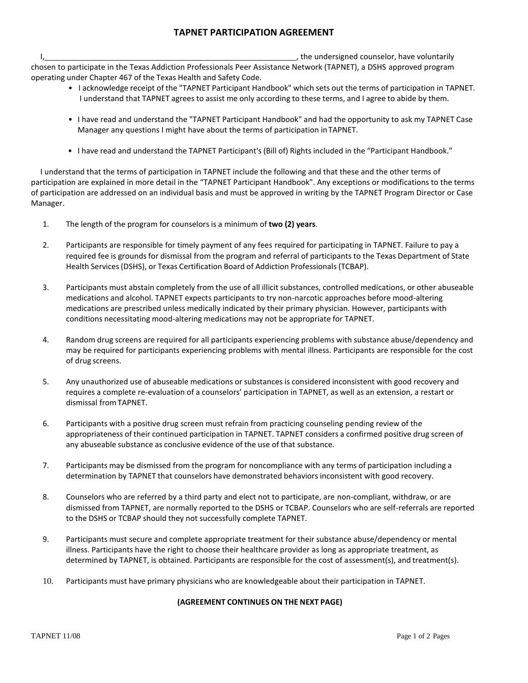## **TAPNET PARTICIPATION AGREEMENT**

I, the undersigned counselor, have voluntarily in the undersigned counselor, have voluntarily chosen to participate in the Texas Addiction Professionals Peer Assistance Network (TAPNET), a DSHS approved program operating under Chapter 467 of the Texas Health and Safety Code.

- I acknowledge receipt of the "TAPNET Participant Handbook" which sets out the terms of participation in TAPNET. I understand that TAPNET agrees to assist me only according to these terms, and I agree to abide by them.
- I have read and understand the "TAPNET Participant Handbook" and had the opportunity to ask my TAPNET Case Manager any questions I might have about the terms of participation inTAPNET.
- I have read and understand the TAPNET Participant's (Bill of) Rights included in the "Participant Handbook."

I understand that the terms of participation in TAPNET include the following and that these and the other terms of participation are explained in more detail in the "TAPNET Participant Handbook". Any exceptions or modifications to the terms of participation are addressed on an individual basis and must be approved in writing by the TAPNET Program Director or Case Manager.

- 1. The length of the program for counselors is a minimum of **two (2) years**.
- 2. Participants are responsible for timely payment of any fees required for participating in TAPNET. Failure to pay a required fee is grounds for dismissal from the program and referral of participants to the Texas Department of State Health Services(DSHS), or Texas Certification Board of Addiction Professionals(TCBAP).
- 3. Participants must abstain completely from the use of all illicit substances, controlled medications, or other abuseable medications and alcohol. TAPNET expects participants to try non-narcotic approaches before mood-altering medications are prescribed unless medically indicated by their primary physician. However, participants with conditions necessitating mood-altering medications may not be appropriate for TAPNET.
- 4. Random drug screens are required for all participants experiencing problems with substance abuse/dependency and may be required for participants experiencing problems with mental illness. Participants are responsible for the cost of drug screens.
- 5. Any unauthorized use of abuseable medications or substances is considered inconsistent with good recovery and requires a complete re-evaluation of a counselors' participation in TAPNET, as well as an extension, a restart or dismissal fromTAPNET.
- 6. Participants with a positive drug screen must refrain from practicing counseling pending review of the appropriateness of their continued participation in TAPNET. TAPNET considers a confirmed positive drug screen of any abuseable substance as conclusive evidence of the use of that substance.
- 7. Participants may be dismissed from the program for noncompliance with any terms of participation including a determination by TAPNET that counselors have demonstrated behaviors inconsistent with good recovery.
- 8. Counselors who are referred by a third party and elect not to participate, are non-compliant, withdraw, or are dismissed from TAPNET, are normally reported to the DSHS or TCBAP. Counselors who are self-referrals are reported to the DSHS or TCBAP should they not successfully complete TAPNET.
- 9. Participants must secure and complete appropriate treatment for their substance abuse/dependency or mental illness. Participants have the right to choose their healthcare provider as long as appropriate treatment, as determined by TAPNET, is obtained. Participants are responsible for the cost of assessment(s), and treatment(s).
- 10. Participants must have primary physicians who are knowledgeable about their participation in TAPNET.

## **(AGREEMENT CONTINUES ON THE NEXT PAGE)**